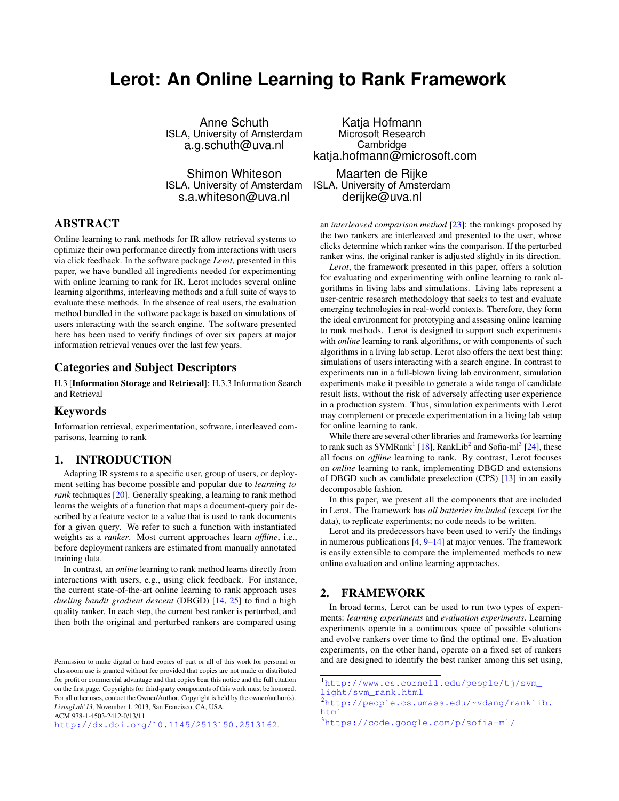# <span id="page-0-0"></span>**Lerot: An Online Learning to Rank Framework**

Anne Schuth ISLA, University of Amsterdam a.g.schuth@uva.nl

Shimon Whiteson ISLA, University of Amsterdam s.a.whiteson@uva.nl

# ABSTRACT

Online learning to rank methods for IR allow retrieval systems to optimize their own performance directly from interactions with users via click feedback. In the software package *Lerot*, presented in this paper, we have bundled all ingredients needed for experimenting with online learning to rank for IR. Lerot includes several online learning algorithms, interleaving methods and a full suite of ways to evaluate these methods. In the absence of real users, the evaluation method bundled in the software package is based on simulations of users interacting with the search engine. The software presented here has been used to verify findings of over six papers at major information retrieval venues over the last few years.

#### Categories and Subject Descriptors

H.3 [Information Storage and Retrieval]: H.3.3 Information Search and Retrieval

#### Keywords

Information retrieval, experimentation, software, interleaved comparisons, learning to rank

#### 1. INTRODUCTION

Adapting IR systems to a specific user, group of users, or deployment setting has become possible and popular due to *learning to rank* techniques [\[20\]](#page-3-0). Generally speaking, a learning to rank method learns the weights of a function that maps a document-query pair described by a feature vector to a value that is used to rank documents for a given query. We refer to such a function with instantiated weights as a *ranker*. Most current approaches learn *offline*, i.e., before deployment rankers are estimated from manually annotated training data.

In contrast, an *online* learning to rank method learns directly from interactions with users, e.g., using click feedback. For instance, the current state-of-the-art online learning to rank approach uses *dueling bandit gradient descent* (DBGD) [\[14,](#page-3-1) [25\]](#page-3-2) to find a high quality ranker. In each step, the current best ranker is perturbed, and then both the original and perturbed rankers are compared using

ACM 978-1-4503-2412-0/13/11

<http://dx.doi.org/10.1145/2513150.2513162>.

Katja Hofmann Microsoft Research Cambridge katja.hofmann@microsoft.com

Maarten de Rijke ISLA, University of Amsterdam derijke@uva.nl

an *interleaved comparison method* [\[23\]](#page-3-3): the rankings proposed by the two rankers are interleaved and presented to the user, whose clicks determine which ranker wins the comparison. If the perturbed ranker wins, the original ranker is adjusted slightly in its direction.

*Lerot*, the framework presented in this paper, offers a solution for evaluating and experimenting with online learning to rank algorithms in living labs and simulations. Living labs represent a user-centric research methodology that seeks to test and evaluate emerging technologies in real-world contexts. Therefore, they form the ideal environment for prototyping and assessing online learning to rank methods. Lerot is designed to support such experiments with *online* learning to rank algorithms, or with components of such algorithms in a living lab setup. Lerot also offers the next best thing: simulations of users interacting with a search engine. In contrast to experiments run in a full-blown living lab environment, simulation experiments make it possible to generate a wide range of candidate result lists, without the risk of adversely affecting user experience in a production system. Thus, simulation experiments with Lerot may complement or precede experimentation in a living lab setup for online learning to rank.

While there are several other libraries and frameworks for learning to rank such as SVMRank<sup>1</sup> [\[18\]](#page-3-4), RankLib<sup>2</sup> and Sofia-ml<sup>3</sup> [\[24\]](#page-3-5), these all focus on *offline* learning to rank. By contrast, Lerot focuses on *online* learning to rank, implementing DBGD and extensions of DBGD such as candidate preselection (CPS) [\[13\]](#page-3-6) in an easily decomposable fashion.

In this paper, we present all the components that are included in Lerot. The framework has *all batteries included* (except for the data), to replicate experiments; no code needs to be written.

Lerot and its predecessors have been used to verify the findings in numerous publications  $[4, 9-14]$  $[4, 9-14]$  $[4, 9-14]$  at major venues. The framework is easily extensible to compare the implemented methods to new online evaluation and online learning approaches.

## <span id="page-0-1"></span>2. FRAMEWORK

In broad terms, Lerot can be used to run two types of experiments: *learning experiments* and *evaluation experiments*. Learning experiments operate in a continuous space of possible solutions and evolve rankers over time to find the optimal one. Evaluation experiments, on the other hand, operate on a fixed set of rankers and are designed to identify the best ranker among this set using,

Permission to make digital or hard copies of part or all of this work for personal or classroom use is granted without fee provided that copies are not made or distributed for profit or commercial advantage and that copies bear this notice and the full citation on the first page. Copyrights for third-party components of this work must be honored. For all other uses, contact the Owner/Author. Copyright is held by the owner/author(s). *LivingLab'13,* November 1, 2013, San Francisco, CA, USA.

<sup>1</sup>[http://www.cs.cornell.edu/people/tj/svm\\_](http://www.cs.cornell.edu/people/tj/svm_light/svm_rank.html)

[light/svm\\_rank.html](http://www.cs.cornell.edu/people/tj/svm_light/svm_rank.html)

<sup>2</sup>[http://people.cs.umass.edu/~vdang/ranklib.](http://people.cs.umass.edu/~vdang/ranklib.html) [html](http://people.cs.umass.edu/~vdang/ranklib.html) <sup>3</sup><https://code.google.com/p/sofia-ml/>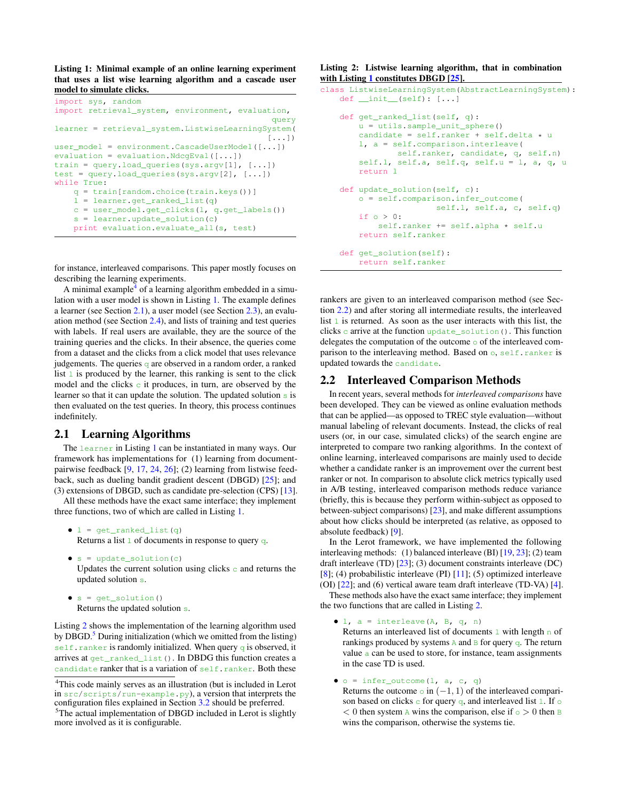<span id="page-1-0"></span>Listing 1: Minimal example of an online learning experiment that uses a list wise learning algorithm and a cascade user model to simulate clicks.

```
import sys, random
import retrieval_system, environment, evaluation,
                                               query
learner = retrieval_system.ListwiseLearningSystem(
                                              [\ldots]user_model = environment.CascadeUserModel([...])
evaluation = evaluation.NdcgEval([\ldots])
train = query.load_queries(sys.argv[1], [...])
test = query.load_queries(sys.argv[2], [...])
while True:
    q = train[random.choice(train.keys())]
    \overline{1} = learner.get_ranked_list(q)
    c = user_model.get_clicks(l, q.get_labels())
    s = learner.update_solution(c)
   print evaluation.evaluate_all(s, test)
```
for instance, interleaved comparisons. This paper mostly focuses on describing the learning experiments.

A minimal example $4$  of a learning algorithm embedded in a simulation with a user model is shown in Listing [1.](#page-1-0) The example defines a learner (see Section [2.1\)](#page-1-1), a user model (see Section [2.3\)](#page-2-0), an evaluation method (see Section [2.4\)](#page-2-1), and lists of training and test queries with labels. If real users are available, they are the source of the training queries and the clicks. In their absence, the queries come from a dataset and the clicks from a click model that uses relevance judgements. The queries  $\sigma$  are observed in a random order, a ranked list  $\perp$  is produced by the learner, this ranking is sent to the click model and the clicks  $\circ$  it produces, in turn, are observed by the learner so that it can update the solution. The updated solution s is then evaluated on the test queries. In theory, this process continues indefinitely.

#### <span id="page-1-1"></span>2.1 Learning Algorithms

The learner in Listing [1](#page-1-0) can be instantiated in many ways. Our framework has implementations for (1) learning from documentpairwise feedback [\[9,](#page-3-8) [17,](#page-3-9) [24,](#page-3-5) [26\]](#page-3-10); (2) learning from listwise feedback, such as dueling bandit gradient descent (DBGD) [\[25\]](#page-3-2); and (3) extensions of DBGD, such as candidate pre-selection (CPS) [\[13\]](#page-3-6).

All these methods have the exact same interface; they implement three functions, two of which are called in Listing [1.](#page-1-0)

```
\bullet 1 = get_ranked_list(q)
```
Returns a list  $1$  of documents in response to query q.

- $\bullet$  s = update\_solution(c) Updates the current solution using clicks  $\circ$  and returns the updated solution s.
- $\bullet$  s = qet\_solution() Returns the updated solution s.

Listing [2](#page-1-2) shows the implementation of the learning algorithm used by DBGD. $5$  During initialization (which we omitted from the listing) self.ranker is randomly initialized. When query q is observed, it arrives at get\_ranked\_list(). In DBDG this function creates a candidate ranker that is a variation of self.ranker. Both these

#### <span id="page-1-2"></span>Listing 2: Listwise learning algorithm, that in combination with Listing [1](#page-1-0) constitutes DBGD [\[25\]](#page-3-2).

```
class ListwiseLearningSystem(AbstractLearningSystem):
    def \_init_{\_} (self): [...]def get_ranked_list(self, q):
        u = utils.sample_unit_sphere()
        candidate = self.ranker + self.delta \star u
        l, a = self.comparison.interleave(
               self.ranker, candidate, q, self.n)
        self.l, self.a, self.q, self.u = l, a, q, u
        return l
    def update_solution(self, c):
        o = self.comparison.infer_outcome(
                        self.l, self.a, c, self.q)
        if o > 0:
            self.ranker += self.alpha * self.u
        return self.ranker
    def get_solution(self):
        return self.ranker
```
rankers are given to an interleaved comparison method (see Section [2.2\)](#page-1-3) and after storing all intermediate results, the interleaved list  $\perp$  is returned. As soon as the user interacts with this list, the clicks c arrive at the function update\_solution(). This function delegates the computation of the outcome  $\circ$  of the interleaved comparison to the interleaving method. Based on o, self.ranker is updated towards the candidate.

#### <span id="page-1-3"></span>2.2 Interleaved Comparison Methods

In recent years, several methods for *interleaved comparisons* have been developed. They can be viewed as online evaluation methods that can be applied—as opposed to TREC style evaluation—without manual labeling of relevant documents. Instead, the clicks of real users (or, in our case, simulated clicks) of the search engine are interpreted to compare two ranking algorithms. In the context of online learning, interleaved comparisons are mainly used to decide whether a candidate ranker is an improvement over the current best ranker or not. In comparison to absolute click metrics typically used in A/B testing, interleaved comparison methods reduce variance (briefly, this is because they perform within-subject as opposed to between-subject comparisons) [\[23\]](#page-3-3), and make different assumptions about how clicks should be interpreted (as relative, as opposed to absolute feedback) [\[9\]](#page-3-8).

In the Lerot framework, we have implemented the following interleaving methods: (1) balanced interleave (BI) [\[19,](#page-3-11) [23\]](#page-3-3); (2) team draft interleave (TD) [\[23\]](#page-3-3); (3) document constraints interleave (DC)  $[8]$ ; (4) probabilistic interleave (PI)  $[11]$ ; (5) optimized interleave (OI) [\[22\]](#page-3-14); and (6) vertical aware team draft interleave (TD-VA) [\[4\]](#page-3-7).

These methods also have the exact same interface; they implement the two functions that are called in Listing [2.](#page-1-2)

 $\bullet$  1, a = interleave(A, B, q, n)

Returns an interleaved list of documents  $1$  with length n of rankings produced by systems A and B for query q. The return value a can be used to store, for instance, team assignments in the case TD is used.

- $\bullet$   $\circ$  = infer\_outcome(l, a, c, q)
- Returns the outcome  $\circ$  in  $(-1, 1)$  of the interleaved comparison based on clicks  $\circ$  for query  $\circ$ , and interleaved list  $\perp$ . If  $\circ$  $< 0$  then system A wins the comparison, else if  $\circ > 0$  then B wins the comparison, otherwise the systems tie.

<sup>4</sup>This code mainly serves as an illustration (but is included in Lerot in src/scripts/run-example.py), a version that interprets the configuration files explained in Section [3.2](#page-2-2) should be preferred.

<sup>&</sup>lt;sup>5</sup>The actual implementation of DBGD included in Lerot is slightly more involved as it is configurable.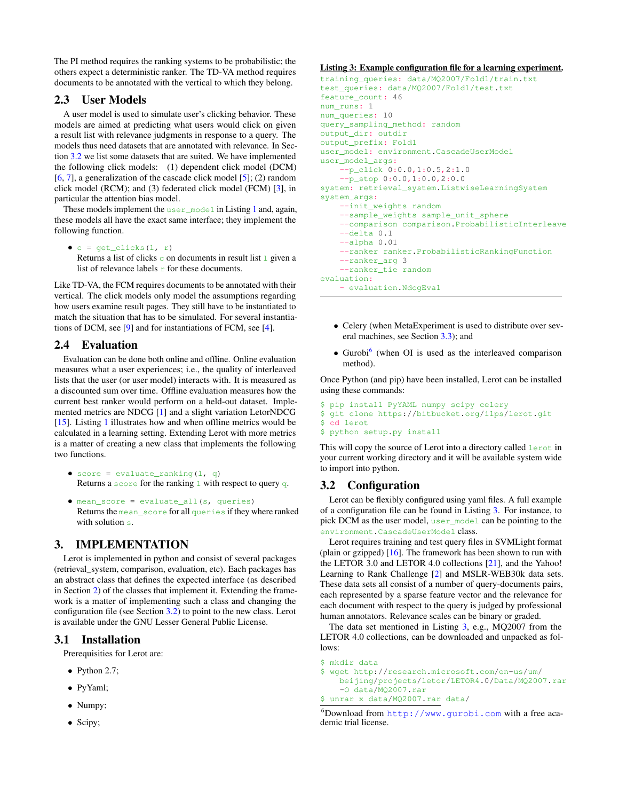The PI method requires the ranking systems to be probabilistic; the others expect a deterministic ranker. The TD-VA method requires documents to be annotated with the vertical to which they belong.

### <span id="page-2-0"></span>2.3 User Models

A user model is used to simulate user's clicking behavior. These models are aimed at predicting what users would click on given a result list with relevance judgments in response to a query. The models thus need datasets that are annotated with relevance. In Section [3.2](#page-2-2) we list some datasets that are suited. We have implemented the following click models: (1) dependent click model (DCM) [\[6,](#page-3-15) [7\]](#page-3-16), a generalization of the cascade click model [\[5\]](#page-3-17); (2) random click model (RCM); and (3) federated click model (FCM) [\[3\]](#page-3-18), in particular the attention bias model.

These models implement the user\_model in Listing [1](#page-1-0) and, again, these models all have the exact same interface; they implement the following function.

•  $c = get\_clicks(1, r)$ Returns a list of clicks  $\circ$  on documents in result list  $\perp$  given a list of relevance labels  $r$  for these documents.

Like TD-VA, the FCM requires documents to be annotated with their vertical. The click models only model the assumptions regarding how users examine result pages. They still have to be instantiated to match the situation that has to be simulated. For several instantiations of DCM, see [\[9\]](#page-3-8) and for instantiations of FCM, see [\[4\]](#page-3-7).

# <span id="page-2-1"></span>2.4 Evaluation

Evaluation can be done both online and offline. Online evaluation measures what a user experiences; i.e., the quality of interleaved lists that the user (or user model) interacts with. It is measured as a discounted sum over time. Offline evaluation measures how the current best ranker would perform on a held-out dataset. Implemented metrics are NDCG [\[1\]](#page-3-19) and a slight variation LetorNDCG [\[15\]](#page-3-20). Listing [1](#page-1-0) illustrates how and when offline metrics would be calculated in a learning setting. Extending Lerot with more metrics is a matter of creating a new class that implements the following two functions.

- score = evaluate ranking(l, q) Returns a score for the ranking  $\perp$  with respect to query q.
- mean\_score = evaluate\_all(s, queries) Returns the mean\_score for all queries if they where ranked with solution s.

# 3. IMPLEMENTATION

Lerot is implemented in python and consist of several packages (retrieval\_system, comparison, evaluation, etc). Each packages has an abstract class that defines the expected interface (as described in Section [2\)](#page-0-1) of the classes that implement it. Extending the framework is a matter of implementing such a class and changing the configuration file (see Section [3.2\)](#page-2-2) to point to the new class. Lerot is available under the GNU Lesser General Public License.

# 3.1 Installation

Prerequisities for Lerot are:

- Python 2.7;
- PyYaml;
- Numpy;
- Scipy;

#### <span id="page-2-3"></span>Listing 3: Example configuration file for a learning experiment.

```
training_queries: data/MQ2007/Fold1/train.txt
test_queries: data/MQ2007/Fold1/test.txt
feature_count: 46
num_runs: 1
num_queries: 10
query_sampling_method: random
output_dir: outdir
output_prefix: Fold1
user_model: environment.CascadeUserModel
user_model_args:
    --p_click 0:0.0,1:0.5,2:1.0
    --p_stop 0:0.0,1:0.0,2:0.0
system: retrieval_system.ListwiseLearningSystem
system_args:
    --init_weights random
    --sample_weights sample_unit_sphere
    --comparison comparison.ProbabilisticInterleave
    -delta 0.1
    --alpha 0.01
    --ranker ranker.ProbabilisticRankingFunction
    --ranker_arg 3
    --ranker_tie random
evaluation:
    - evaluation.NdcgEval
```
- Celery (when MetaExperiment is used to distribute over several machines, see Section [3.3\)](#page-3-21); and
- Gurobi<sup>[6](#page-0-0)</sup> (when OI is used as the interleaved comparison method).

Once Python (and pip) have been installed, Lerot can be installed using these commands:

```
$ pip install PyYAML numpy scipy celery
$ git clone https://bitbucket.org/ilps/lerot.git
$ cd lerot
$ python setup.py install
```
This will copy the source of Lerot into a directory called lerot in your current working directory and it will be available system wide to import into python.

# <span id="page-2-2"></span>3.2 Configuration

Lerot can be flexibly configured using yaml files. A full example of a configuration file can be found in Listing [3.](#page-2-3) For instance, to pick DCM as the user model, user\_model can be pointing to the environment.CascadeUserModel class.

Lerot requires training and test query files in SVMLight format (plain or gzipped) [\[16\]](#page-3-22). The framework has been shown to run with the LETOR 3.0 and LETOR 4.0 collections [\[21\]](#page-3-23), and the Yahoo! Learning to Rank Challenge [\[2\]](#page-3-24) and MSLR-WEB30k data sets. These data sets all consist of a number of query-documents pairs, each represented by a sparse feature vector and the relevance for each document with respect to the query is judged by professional human annotators. Relevance scales can be binary or graded.

The data set mentioned in Listing [3,](#page-2-3) e.g., MQ2007 from the LETOR 4.0 collections, can be downloaded and unpacked as follows:

```
$ mkdir data
$ wget http://research.microsoft.com/en-us/um/
    beijing/projects/letor/LETOR4.0/Data/MQ2007.rar
    -O data/MQ2007.rar
$ unrar x data/MQ2007.rar data/
```

```
6Download from http://www.gurobi.com with a free aca-
demic trial license.
```